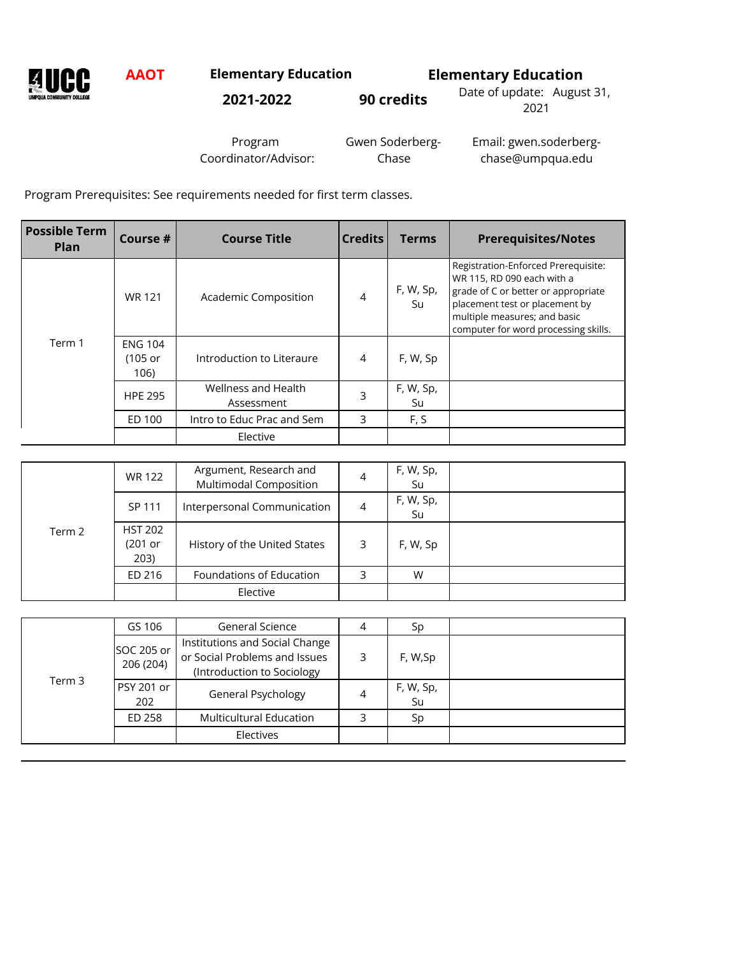**NANCC** 

**AAOT Elementary Education Elementary Education**

**2021-2022 90 credits** Date of update: August 31,

2021

Program Coordinator/Advisor: Gwen Soderberg-Chase

Email: gwen.soderbergchase@umpqua.edu

Program Prerequisites: See requirements needed for first term classes.

| <b>Possible Term</b><br>Plan | Course #                            | <b>Course Title</b>               | <b>Credits</b> | <b>Terms</b>    | <b>Prerequisites/Notes</b>                                                                                                                                                                                         |
|------------------------------|-------------------------------------|-----------------------------------|----------------|-----------------|--------------------------------------------------------------------------------------------------------------------------------------------------------------------------------------------------------------------|
|                              | <b>WR 121</b>                       | Academic Composition              | 4              | F, W, Sp,<br>Su | Registration-Enforced Prerequisite:<br>WR 115, RD 090 each with a<br>grade of C or better or appropriate<br>placement test or placement by<br>multiple measures; and basic<br>computer for word processing skills. |
| Term 1                       | <b>ENG 104</b><br>$(105$ or<br>106) | Introduction to Literaure         | 4              | F, W, Sp        |                                                                                                                                                                                                                    |
|                              | <b>HPE 295</b>                      | Wellness and Health<br>Assessment | 3              | F, W, Sp,<br>Su |                                                                                                                                                                                                                    |
|                              | ED 100                              | Intro to Educ Prac and Sem        | 3              | F, S            |                                                                                                                                                                                                                    |
|                              |                                     | Elective                          |                |                 |                                                                                                                                                                                                                    |

|        | WR 122                              | Argument, Research and<br><b>Multimodal Composition</b> | 4 | F, W, Sp,<br>Su |  |
|--------|-------------------------------------|---------------------------------------------------------|---|-----------------|--|
|        | SP 111                              | Interpersonal Communication                             | 4 | F, W, Sp,<br>Su |  |
| Term 2 | <b>HST 202</b><br>$(201$ or<br>203) | History of the United States                            | 3 | F, W, Sp        |  |
|        | ED 216                              | Foundations of Education                                | 3 | W               |  |
|        |                                     | Elective                                                |   |                 |  |

|        | GS 106                   | <b>General Science</b>                                                                        | 4 | Sp              |  |
|--------|--------------------------|-----------------------------------------------------------------------------------------------|---|-----------------|--|
|        | SOC 205 or<br>206 (204)  | Institutions and Social Change<br>or Social Problems and Issues<br>(Introduction to Sociology | 3 | F, W,Sp         |  |
| Term 3 | <b>PSY 201 or</b><br>202 | General Psychology                                                                            | 4 | F, W, Sp,<br>Su |  |
|        | ED 258                   | <b>Multicultural Education</b>                                                                | 3 | Sp              |  |
|        |                          | Electives                                                                                     |   |                 |  |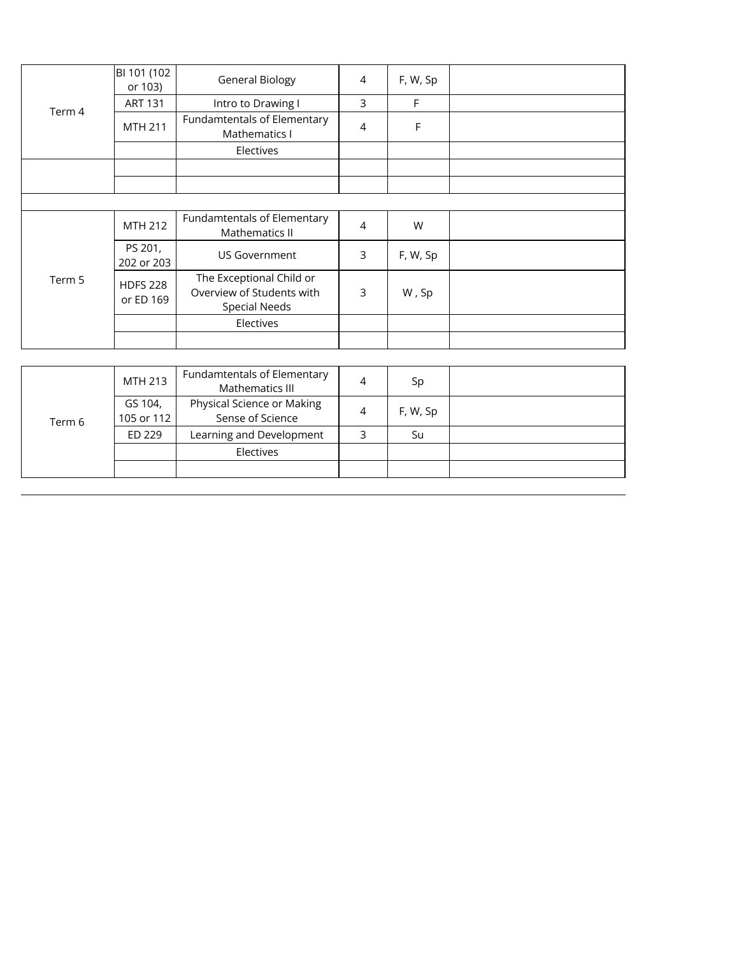|        | BI 101 (102<br>or 103)       | <b>General Biology</b>                                                        | $\overline{4}$ | F, W, Sp |  |
|--------|------------------------------|-------------------------------------------------------------------------------|----------------|----------|--|
|        | <b>ART 131</b>               | Intro to Drawing I                                                            | 3              | F        |  |
| Term 4 | <b>MTH 211</b>               | Fundamtentals of Elementary<br>Mathematics I                                  | $\overline{4}$ | F        |  |
|        |                              | Electives                                                                     |                |          |  |
|        |                              |                                                                               |                |          |  |
|        |                              |                                                                               |                |          |  |
|        |                              |                                                                               |                |          |  |
|        | MTH 212                      | Fundamtentals of Elementary<br>Mathematics II                                 | $\overline{4}$ | W        |  |
|        | PS 201,<br>202 or 203        | <b>US Government</b>                                                          | 3              | F, W, Sp |  |
| Term 5 | <b>HDFS 228</b><br>or ED 169 | The Exceptional Child or<br>Overview of Students with<br><b>Special Needs</b> | 3              | W, Sp    |  |
|        |                              | Electives                                                                     |                |          |  |
|        |                              |                                                                               |                |          |  |

| Term 6 | MTH 213               | Fundamtentals of Elementary<br>Mathematics III | 4 | Sp       |  |
|--------|-----------------------|------------------------------------------------|---|----------|--|
|        | GS 104,<br>105 or 112 | Physical Science or Making<br>Sense of Science | 4 | F, W, Sp |  |
|        | ED 229                | Learning and Development                       |   | Su       |  |
|        |                       | Electives                                      |   |          |  |
|        |                       |                                                |   |          |  |